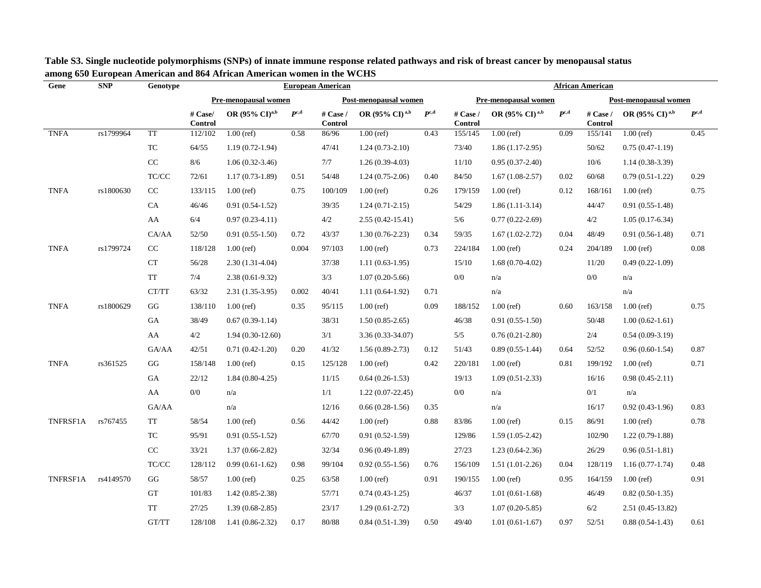| Gene        | <b>SNP</b> | Genotype                                                 | <b>European American</b>  |                           |               |                            |                              |               |                            | <b>African American</b>    |               |                              |                              |               |  |  |
|-------------|------------|----------------------------------------------------------|---------------------------|---------------------------|---------------|----------------------------|------------------------------|---------------|----------------------------|----------------------------|---------------|------------------------------|------------------------------|---------------|--|--|
|             |            |                                                          |                           | Pre-menopausal women      |               |                            | Post-menopausal women        |               |                            | Pre-menopausal women       |               |                              | Post-menopausal women        |               |  |  |
|             |            |                                                          | # Case/<br><b>Control</b> | OR (95% CD <sup>a,b</sup> | $P^{\rm c,d}$ | # Case /<br><b>Control</b> | OR $(95\% \text{ CI})^{a,b}$ | $P^{\rm c,d}$ | # Case /<br><b>Control</b> | OR (95% CI) <sup>a,b</sup> | $P^{\rm c,d}$ | # Case $/$<br><b>Control</b> | OR $(95\% \text{ CI})^{a,b}$ | $P^{\rm c,d}$ |  |  |
| <b>TNFA</b> | rs1799964  | <b>TT</b>                                                | 112/102                   | $1.00$ (ref)              | 0.58          | 86/96                      | $1.00$ (ref)                 | 0.43          | 155/145                    | $1.00$ (ref)               | 0.09          | 155/141                      | $1.00$ (ref)                 | 0.45          |  |  |
|             |            | ${\rm TC}$                                               | 64/55                     | $1.19(0.72-1.94)$         |               | 47/41                      | $1.24(0.73-2.10)$            |               | 73/40                      | $1.86(1.17-2.95)$          |               | 50/62                        | $0.75(0.47-1.19)$            |               |  |  |
|             |            | $\rm CC$                                                 | 8/6                       | $1.06(0.32-3.46)$         |               | 7/7                        | $1.26(0.39-4.03)$            |               | 11/10                      | $0.95(0.37-2.40)$          |               | 10/6                         | $1.14(0.38-3.39)$            |               |  |  |
|             |            | $\ensuremath{\mathsf{T}\mathsf{C}/\mathsf{C}\mathsf{C}}$ | 72/61                     | $1.17(0.73-1.89)$         | 0.51          | 54/48                      | $1.24(0.75-2.06)$            | 0.40          | 84/50                      | $1.67(1.08-2.57)$          | 0.02          | 60/68                        | $0.79(0.51-1.22)$            | 0.29          |  |  |
| <b>TNFA</b> | rs1800630  | $\rm CC$                                                 | 133/115                   | $1.00$ (ref)              | 0.75          | 100/109                    | $1.00$ (ref)                 | 0.26          | 179/159                    | $1.00$ (ref)               | 0.12          | 168/161                      | $1.00$ (ref)                 | 0.75          |  |  |
|             |            | CA                                                       | 46/46                     | $0.91(0.54-1.52)$         |               | 39/35                      | $1.24(0.71-2.15)$            |               | 54/29                      | $1.86(1.11-3.14)$          |               | 44/47                        | $0.91(0.55-1.48)$            |               |  |  |
|             |            | AA                                                       | 6/4                       | $0.97(0.23 - 4.11)$       |               | 4/2                        | $2.55(0.42 - 15.41)$         |               | 5/6                        | $0.77(0.22 - 2.69)$        |               | 4/2                          | $1.05(0.17-6.34)$            |               |  |  |
|             |            | CA/AA                                                    | 52/50                     | $0.91(0.55-1.50)$         | 0.72          | 43/37                      | $1.30(0.76-2.23)$            | 0.34          | 59/35                      | $1.67(1.02 - 2.72)$        | 0.04          | 48/49                        | $0.91(0.56-1.48)$            | 0.71          |  |  |
| <b>TNFA</b> | rs1799724  | $\rm CC$                                                 | 118/128                   | $1.00$ (ref)              | 0.004         | 97/103                     | $1.00$ (ref)                 | 0.73          | 224/184                    | $1.00$ (ref)               | 0.24          | 204/189                      | $1.00$ (ref)                 | 0.08          |  |  |
|             |            | <b>CT</b>                                                | 56/28                     | $2.30(1.31-4.04)$         |               | 37/38                      | $1.11(0.63-1.95)$            |               | 15/10                      | $1.68(0.70-4.02)$          |               | 11/20                        | $0.49(0.22 - 1.09)$          |               |  |  |
|             |            | $\operatorname{TT}$                                      | 7/4                       | $2.38(0.61-9.32)$         |               | 3/3                        | $1.07(0.20-5.66)$            |               | $0/0$                      | n/a                        |               | 0/0                          | n/a                          |               |  |  |
|             |            | CT/TT                                                    | 63/32                     | 2.31 (1.35-3.95)          | 0.002         | 40/41                      | $1.11(0.64-1.92)$            | 0.71          |                            | n/a                        |               |                              | n/a                          |               |  |  |
| <b>TNFA</b> | rs1800629  | GG                                                       | 138/110                   | $1.00$ (ref)              | 0.35          | 95/115                     | $1.00$ (ref)                 | 0.09          | 188/152                    | $1.00$ (ref)               | 0.60          | 163/158                      | $1.00$ (ref)                 | 0.75          |  |  |
|             |            | GA                                                       | 38/49                     | $0.67(0.39-1.14)$         |               | 38/31                      | $1.50(0.85-2.65)$            |               | 46/38                      | $0.91(0.55-1.50)$          |               | 50/48                        | $1.00(0.62-1.61)$            |               |  |  |
|             |            | AA                                                       | $4/2$                     | $1.94(0.30-12.60)$        |               | 3/1                        | 3.36 (0.33-34.07)            |               | 5/5                        | $0.76(0.21-2.80)$          |               | 2/4                          | $0.54(0.09-3.19)$            |               |  |  |
|             |            | GA/AA                                                    | 42/51                     | $0.71(0.42-1.20)$         | 0.20          | 41/32                      | $1.56(0.89-2.73)$            | 0.12          | 51/43                      | $0.89(0.55-1.44)$          | 0.64          | 52/52                        | $0.96(0.60-1.54)$            | 0.87          |  |  |
| <b>TNFA</b> | rs361525   | $\mathbf{G}\mathbf{G}$                                   | 158/148                   | $1.00$ (ref)              | 0.15          | 125/128                    | $1.00$ (ref)                 | 0.42          | 220/181                    | $1.00$ (ref)               | 0.81          | 199/192                      | $1.00$ (ref)                 | 0.71          |  |  |
|             |            | GA                                                       | 22/12                     | $1.84(0.80-4.25)$         |               | 11/15                      | $0.64(0.26-1.53)$            |               | 19/13                      | $1.09(0.51-2.33)$          |               | 16/16                        | $0.98(0.45-2.11)$            |               |  |  |
|             |            | AA                                                       | 0/0                       | n/a                       |               | 1/1                        | $1.22(0.07-22.45)$           |               | $0/0$                      | n/a                        |               | 0/1                          | n/a                          |               |  |  |
|             |            | GA/AA                                                    |                           | n/a                       |               | 12/16                      | $0.66(0.28-1.56)$            | 0.35          |                            | n/a                        |               | 16/17                        | $0.92(0.43-1.96)$            | 0.83          |  |  |
| TNFRSF1A    | rs767455   | TT                                                       | 58/54                     | $1.00$ (ref)              | 0.56          | 44/42                      | $1.00$ (ref)                 | 0.88          | 83/86                      | $1.00$ (ref)               | 0.15          | 86/91                        | $1.00$ (ref)                 | 0.78          |  |  |
|             |            | TC                                                       | 95/91                     | $0.91(0.55-1.52)$         |               | 67/70                      | $0.91(0.52-1.59)$            |               | 129/86                     | $1.59(1.05-2.42)$          |               | 102/90                       | $1.22(0.79-1.88)$            |               |  |  |
|             |            | $\rm CC$                                                 | 33/21                     | $1.37(0.66-2.82)$         |               | 32/34                      | $0.96(0.49-1.89)$            |               | 27/23                      | $1.23(0.64-2.36)$          |               | 26/29                        | $0.96(0.51-1.81)$            |               |  |  |
|             |            | TC/CC                                                    | 128/112                   | $0.99(0.61-1.62)$         | 0.98          | 99/104                     | $0.92(0.55-1.56)$            | 0.76          | 156/109                    | $1.51(1.01-2.26)$          | 0.04          | 128/119                      | $1.16(0.77-1.74)$            | 0.48          |  |  |
| TNFRSF1A    | rs4149570  | $\mathbf{G}\mathbf{G}$                                   | 58/57                     | $1.00$ (ref)              | 0.25          | 63/58                      | $1.00$ (ref)                 | 0.91          | 190/155                    | $1.00$ (ref)               | 0.95          | 164/159                      | $1.00$ (ref)                 | 0.91          |  |  |
|             |            | <b>GT</b>                                                | 101/83                    | $1.42(0.85-2.38)$         |               | 57/71                      | $0.74(0.43-1.25)$            |               | 46/37                      | $1.01(0.61-1.68)$          |               | 46/49                        | $0.82(0.50-1.35)$            |               |  |  |
|             |            | <b>TT</b>                                                | 27/25                     | $1.39(0.68-2.85)$         |               | 23/17                      | $1.29(0.61-2.72)$            |               | 3/3                        | $1.07(0.20-5.85)$          |               | 6/2                          | 2.51 (0.45-13.82)            |               |  |  |
|             |            | GT/TT                                                    | 128/108                   | $1.41(0.86-2.32)$         | 0.17          | 80/88                      | $0.84(0.51-1.39)$            | 0.50          | 49/40                      | $1.01(0.61-1.67)$          | 0.97          | 52/51                        | $0.88(0.54-1.43)$            | 0.61          |  |  |

 **Table S3. Single nucleotide polymorphisms (SNPs) of innate immune response related pathways and risk of breast cancer by menopausal status among 650 European American and 864 African American women in the WCHS**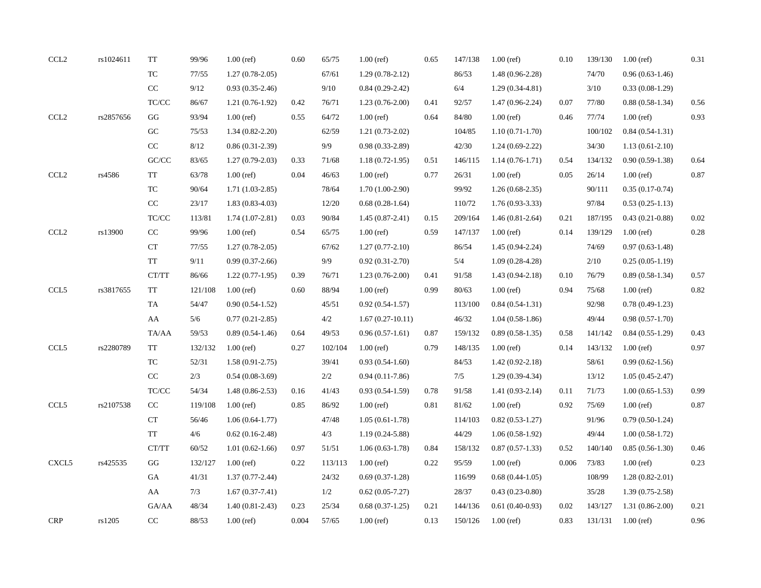| $\ensuremath{\text{CCL2}}\xspace$ | rs1024611 | <b>TT</b>                                                | 99/96   | $1.00$ (ref)        | 0.60  | 65/75   | $1.00$ (ref)        | 0.65 | 147/138 | $1.00$ (ref)        | 0.10  | 139/130 | $1.00$ (ref)        | 0.31 |
|-----------------------------------|-----------|----------------------------------------------------------|---------|---------------------|-------|---------|---------------------|------|---------|---------------------|-------|---------|---------------------|------|
|                                   |           | ${\rm TC}$                                               | 77/55   | $1.27(0.78-2.05)$   |       | 67/61   | $1.29(0.78-2.12)$   |      | 86/53   | 1.48 (0.96-2.28)    |       | 74/70   | $0.96(0.63-1.46)$   |      |
|                                   |           | $\rm CC$                                                 | 9/12    | $0.93(0.35-2.46)$   |       | 9/10    | $0.84(0.29-2.42)$   |      | $6/4$   | $1.29(0.34-4.81)$   |       | 3/10    | $0.33(0.08-1.29)$   |      |
|                                   |           | TC/CC                                                    | 86/67   | $1.21(0.76-1.92)$   | 0.42  | 76/71   | $1.23(0.76-2.00)$   | 0.41 | 92/57   | $1.47(0.96-2.24)$   | 0.07  | 77/80   | $0.88(0.58-1.34)$   | 0.56 |
| CCL <sub>2</sub>                  | rs2857656 | GG                                                       | 93/94   | $1.00$ (ref)        | 0.55  | 64/72   | $1.00$ (ref)        | 0.64 | 84/80   | $1.00$ (ref)        | 0.46  | 77/74   | $1.00$ (ref)        | 0.93 |
|                                   |           | GC                                                       | 75/53   | $1.34(0.82 - 2.20)$ |       | 62/59   | $1.21(0.73-2.02)$   |      | 104/85  | $1.10(0.71-1.70)$   |       | 100/102 | $0.84(0.54-1.31)$   |      |
|                                   |           | $\rm CC$                                                 | $8/12$  | $0.86(0.31 - 2.39)$ |       | 9/9     | $0.98(0.33-2.89)$   |      | 42/30   | $1.24(0.69-2.22)$   |       | 34/30   | $1.13(0.61-2.10)$   |      |
|                                   |           | $\mathrm{G}\mathrm{C}/\mathrm{C}\mathrm{C}$              | 83/65   | $1.27(0.79-2.03)$   | 0.33  | 71/68   | $1.18(0.72 - 1.95)$ | 0.51 | 146/115 | $1.14(0.76-1.71)$   | 0.54  | 134/132 | $0.90(0.59-1.38)$   | 0.64 |
| $\ensuremath{\text{CCL2}}\xspace$ | rs4586    | <b>TT</b>                                                | 63/78   | $1.00$ (ref)        | 0.04  | 46/63   | $1.00$ (ref)        | 0.77 | 26/31   | $1.00$ (ref)        | 0.05  | 26/14   | $1.00$ (ref)        | 0.87 |
|                                   |           | $\protect\operatorname{TC}$                              | 90/64   | $1.71(1.03-2.85)$   |       | 78/64   | $1.70(1.00-2.90)$   |      | 99/92   | $1.26(0.68-2.35)$   |       | 90/111  | $0.35(0.17-0.74)$   |      |
|                                   |           | $\rm CC$                                                 | 23/17   | $1.83(0.83-4.03)$   |       | 12/20   | $0.68(0.28-1.64)$   |      | 110/72  | $1.76(0.93-3.33)$   |       | 97/84   | $0.53(0.25-1.13)$   |      |
|                                   |           | $\ensuremath{\mathsf{T}\mathsf{C}/\mathsf{C}\mathsf{C}}$ | 113/81  | $1.74(1.07-2.81)$   | 0.03  | 90/84   | $1.45(0.87-2.41)$   | 0.15 | 209/164 | $1.46(0.81-2.64)$   | 0.21  | 187/195 | $0.43(0.21-0.88)$   | 0.02 |
| CCL <sub>2</sub>                  | rs13900   | CC                                                       | 99/96   | $1.00$ (ref)        | 0.54  | 65/75   | $1.00$ (ref)        | 0.59 | 147/137 | $1.00$ (ref)        | 0.14  | 139/129 | $1.00$ (ref)        | 0.28 |
|                                   |           | ${\cal C}{\cal T}$                                       | 77/55   | $1.27(0.78-2.05)$   |       | 67/62   | $1.27(0.77-2.10)$   |      | 86/54   | 1.45 (0.94-2.24)    |       | 74/69   | $0.97(0.63-1.48)$   |      |
|                                   |           | <b>TT</b>                                                | 9/11    | $0.99(0.37-2.66)$   |       | 9/9     | $0.92(0.31 - 2.70)$ |      | $5/4$   | $1.09(0.28 - 4.28)$ |       | 2/10    | $0.25(0.05-1.19)$   |      |
|                                   |           | CT/TT                                                    | 86/66   | $1.22(0.77-1.95)$   | 0.39  | 76/71   | $1.23(0.76-2.00)$   | 0.41 | $91/58$ | $1.43(0.94-2.18)$   | 0.10  | 76/79   | $0.89(0.58-1.34)$   | 0.57 |
| CCL5                              | rs3817655 | <b>TT</b>                                                | 121/108 | $1.00$ (ref)        | 0.60  | 88/94   | $1.00$ (ref)        | 0.99 | 80/63   | $1.00$ (ref)        | 0.94  | 75/68   | $1.00$ (ref)        | 0.82 |
|                                   |           | TA                                                       | 54/47   | $0.90(0.54-1.52)$   |       | 45/51   | $0.92(0.54-1.57)$   |      | 113/100 | $0.84(0.54-1.31)$   |       | 92/98   | $0.78(0.49-1.23)$   |      |
|                                   |           | AA                                                       | $5/6$   | $0.77(0.21-2.85)$   |       | $4/2\,$ | $1.67(0.27-10.11)$  |      | 46/32   | $1.04(0.58-1.86)$   |       | 49/44   | $0.98(0.57-1.70)$   |      |
|                                   |           | TA/AA                                                    | 59/53   | $0.89(0.54-1.46)$   | 0.64  | 49/53   | $0.96(0.57-1.61)$   | 0.87 | 159/132 | $0.89(0.58-1.35)$   | 0.58  | 141/142 | $0.84(0.55-1.29)$   | 0.43 |
| $\ensuremath{\text{CCL5}}$        | rs2280789 | <b>TT</b>                                                | 132/132 | $1.00$ (ref)        | 0.27  | 102/104 | $1.00$ (ref)        | 0.79 | 148/135 | $1.00$ (ref)        | 0.14  | 143/132 | $1.00$ (ref)        | 0.97 |
|                                   |           | TC                                                       | 52/31   | $1.58(0.91 - 2.75)$ |       | 39/41   | $0.93(0.54-1.60)$   |      | 84/53   | $1.42(0.92 - 2.18)$ |       | 58/61   | $0.99(0.62-1.56)$   |      |
|                                   |           | CC                                                       | $2/3$   | $0.54(0.08-3.69)$   |       | 2/2     | $0.94(0.11-7.86)$   |      | 7/5     | $1.29(0.39-4.34)$   |       | 13/12   | $1.05(0.45-2.47)$   |      |
|                                   |           | $\ensuremath{\mathsf{T}\mathsf{C}/\mathsf{C}\mathsf{C}}$ | 54/34   | $1.48(0.86 - 2.53)$ | 0.16  | 41/43   | $0.93(0.54-1.59)$   | 0.78 | 91/58   | $1.41(0.93-2.14)$   | 0.11  | 71/73   | $1.00(0.65-1.53)$   | 0.99 |
| CCL5                              | rs2107538 | CC                                                       | 119/108 | $1.00$ (ref)        | 0.85  | 86/92   | $1.00$ (ref)        | 0.81 | 81/62   | $1.00$ (ref)        | 0.92  | 75/69   | $1.00$ (ref)        | 0.87 |
|                                   |           | ${\cal C}{\cal T}$                                       | 56/46   | $1.06(0.64-1.77)$   |       | 47/48   | $1.05(0.61-1.78)$   |      | 114/103 | $0.82(0.53-1.27)$   |       | 91/96   | $0.79(0.50-1.24)$   |      |
|                                   |           | <b>TT</b>                                                | 4/6     | $0.62(0.16-2.48)$   |       | 4/3     | $1.19(0.24 - 5.88)$ |      | 44/29   | $1.06(0.58-1.92)$   |       | 49/44   | $1.00(0.58-1.72)$   |      |
|                                   |           | CT/TT                                                    | 60/52   | $1.01(0.62-1.66)$   | 0.97  | 51/51   | $1.06(0.63-1.78)$   | 0.84 | 158/132 | $0.87(0.57-1.33)$   | 0.52  | 140/140 | $0.85(0.56-1.30)$   | 0.46 |
| CXCL5                             | rs425535  | GG                                                       | 132/127 | $1.00$ (ref)        | 0.22  | 113/113 | $1.00$ (ref)        | 0.22 | 95/59   | $1.00$ (ref)        | 0.006 | 73/83   | $1.00$ (ref)        | 0.23 |
|                                   |           | GA                                                       | 41/31   | $1.37(0.77-2.44)$   |       | 24/32   | $0.69(0.37-1.28)$   |      | 116/99  | $0.68(0.44-1.05)$   |       | 108/99  | $1.28(0.82 - 2.01)$ |      |
|                                   |           | AA                                                       | 7/3     | $1.67(0.37-7.41)$   |       | 1/2     | $0.62(0.05-7.27)$   |      | 28/37   | $0.43(0.23-0.80)$   |       | 35/28   | $1.39(0.75-2.58)$   |      |
|                                   |           | GA/AA                                                    | 48/34   | $1.40(0.81 - 2.43)$ | 0.23  | 25/34   | $0.68(0.37-1.25)$   | 0.21 | 144/136 | $0.61(0.40-0.93)$   | 0.02  | 143/127 | $1.31(0.86-2.00)$   | 0.21 |
| <b>CRP</b>                        | rs1205    | CC                                                       | 88/53   | $1.00$ (ref)        | 0.004 | 57/65   | $1.00$ (ref)        | 0.13 | 150/126 | $1.00$ (ref)        | 0.83  | 131/131 | $1.00$ (ref)        | 0.96 |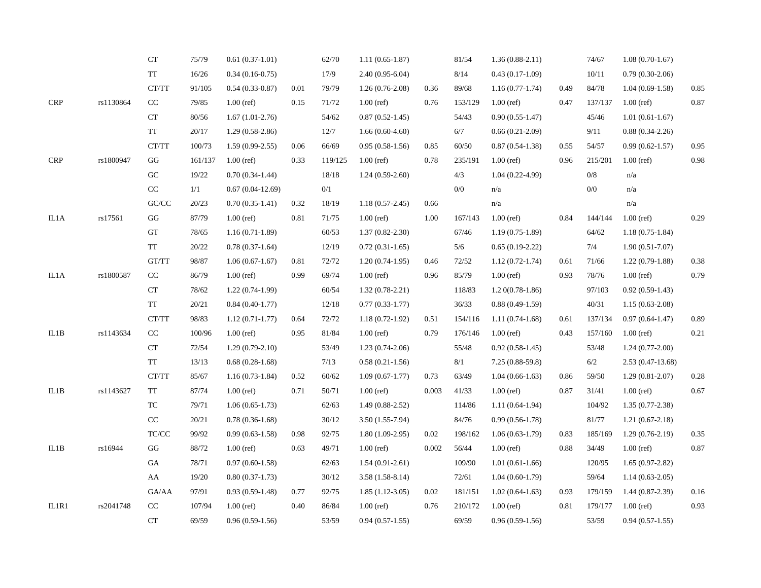|            |           | CT                                                       | 75/79   | $0.61(0.37-1.01)$  |      | 62/70   | $1.11(0.65-1.87)$   |       | 81/54   | $1.36(0.88-2.11)$   |      | 74/67   | $1.08(0.70-1.67)$   |      |
|------------|-----------|----------------------------------------------------------|---------|--------------------|------|---------|---------------------|-------|---------|---------------------|------|---------|---------------------|------|
|            |           | <b>TT</b>                                                | 16/26   | $0.34(0.16-0.75)$  |      | 17/9    | 2.40 (0.95-6.04)    |       | 8/14    | $0.43(0.17-1.09)$   |      | 10/11   | $0.79(0.30-2.06)$   |      |
|            |           | CT/TT                                                    | 91/105  | $0.54(0.33-0.87)$  | 0.01 | 79/79   | $1.26(0.76-2.08)$   | 0.36  | 89/68   | $1.16(0.77-1.74)$   | 0.49 | 84/78   | $1.04(0.69-1.58)$   | 0.85 |
| <b>CRP</b> | rs1130864 | CC                                                       | 79/85   | $1.00$ (ref)       | 0.15 | 71/72   | $1.00$ (ref)        | 0.76  | 153/129 | $1.00$ (ref)        | 0.47 | 137/137 | $1.00$ (ref)        | 0.87 |
|            |           | ${\cal C}{\cal T}$                                       | 80/56   | $1.67(1.01-2.76)$  |      | 54/62   | $0.87(0.52 - 1.45)$ |       | 54/43   | $0.90(0.55-1.47)$   |      | 45/46   | $1.01(0.61-1.67)$   |      |
|            |           | TT                                                       | 20/17   | $1.29(0.58-2.86)$  |      | 12/7    | $1.66(0.60-4.60)$   |       | 6/7     | $0.66(0.21-2.09)$   |      | 9/11    | $0.88(0.34-2.26)$   |      |
|            |           | CT/TT                                                    | 100/73  | $1.59(0.99-2.55)$  | 0.06 | 66/69   | $0.95(0.58-1.56)$   | 0.85  | 60/50   | $0.87(0.54-1.38)$   | 0.55 | 54/57   | $0.99(0.62 - 1.57)$ | 0.95 |
| CRP        | rs1800947 | GG                                                       | 161/137 | $1.00$ (ref)       | 0.33 | 119/125 | $1.00$ (ref)        | 0.78  | 235/191 | $1.00$ (ref)        | 0.96 | 215/201 | $1.00$ (ref)        | 0.98 |
|            |           | ${\rm GC}$                                               | 19/22   | $0.70(0.34-1.44)$  |      | 18/18   | $1.24(0.59-2.60)$   |       | 4/3     | $1.04(0.22 - 4.99)$ |      | $0/8$   | n/a                 |      |
|            |           | $\rm CC$                                                 | 1/1     | $0.67(0.04-12.69)$ |      | 0/1     |                     |       | 0/0     | n/a                 |      | 0/0     | n/a                 |      |
|            |           | $\mathbf{G}\mathbf{C}/\mathbf{C}\mathbf{C}$              | 20/23   | $0.70(0.35-1.41)$  | 0.32 | 18/19   | $1.18(0.57-2.45)$   | 0.66  |         | n/a                 |      |         | n/a                 |      |
| IL1A       | rs17561   | GG                                                       | 87/79   | $1.00$ (ref)       | 0.81 | 71/75   | $1.00$ (ref)        | 1.00  | 167/143 | $1.00$ (ref)        | 0.84 | 144/144 | $1.00$ (ref)        | 0.29 |
|            |           | GT                                                       | 78/65   | $1.16(0.71-1.89)$  |      | 60/53   | $1.37(0.82 - 2.30)$ |       | 67/46   | $1.19(0.75-1.89)$   |      | 64/62   | $1.18(0.75-1.84)$   |      |
|            |           | TT                                                       | 20/22   | $0.78(0.37-1.64)$  |      | 12/19   | $0.72(0.31-1.65)$   |       | 5/6     | $0.65(0.19-2.22)$   |      | 7/4     | $1.90(0.51-7.07)$   |      |
|            |           | GT/TT                                                    | 98/87   | $1.06(0.67-1.67)$  | 0.81 | 72/72   | $1.20(0.74-1.95)$   | 0.46  | 72/52   | $1.12(0.72 - 1.74)$ | 0.61 | 71/66   | $1.22(0.79-1.88)$   | 0.38 |
| $\rm IL1A$ | rs1800587 | CC                                                       | 86/79   | $1.00$ (ref)       | 0.99 | 69/74   | $1.00$ (ref)        | 0.96  | 85/79   | $1.00$ (ref)        | 0.93 | 78/76   | $1.00$ (ref)        | 0.79 |
|            |           | ${\cal C}{\cal T}$                                       | 78/62   | $1.22(0.74-1.99)$  |      | 60/54   | $1.32(0.78-2.21)$   |       | 118/83  | $1.20(0.78-1.86)$   |      | 97/103  | $0.92(0.59-1.43)$   |      |
|            |           | TT                                                       | 20/21   | $0.84(0.40-1.77)$  |      | 12/18   | $0.77(0.33-1.77)$   |       | 36/33   | $0.88(0.49-1.59)$   |      | 40/31   | $1.15(0.63 - 2.08)$ |      |
|            |           | CT/TT                                                    | 98/83   | $1.12(0.71-1.77)$  | 0.64 | 72/72   | $1.18(0.72 - 1.92)$ | 0.51  | 154/116 | $1.11(0.74-1.68)$   | 0.61 | 137/134 | $0.97(0.64-1.47)$   | 0.89 |
| IL1B       | rs1143634 | $\rm CC$                                                 | 100/96  | $1.00$ (ref)       | 0.95 | 81/84   | $1.00$ (ref)        | 0.79  | 176/146 | $1.00$ (ref)        | 0.43 | 157/160 | $1.00$ (ref)        | 0.21 |
|            |           | CT                                                       | 72/54   | $1.29(0.79-2.10)$  |      | 53/49   | $1.23(0.74-2.06)$   |       | 55/48   | $0.92(0.58-1.45)$   |      | 53/48   | $1.24(0.77-2.00)$   |      |
|            |           | TT                                                       | 13/13   | $0.68(0.28-1.68)$  |      | 7/13    | $0.58(0.21-1.56)$   |       | 8/1     | $7.25(0.88-59.8)$   |      | 6/2     | $2.53(0.47-13.68)$  |      |
|            |           | CT/TT                                                    | 85/67   | $1.16(0.73-1.84)$  | 0.52 | 60/62   | $1.09(0.67-1.77)$   | 0.73  | 63/49   | $1.04(0.66-1.63)$   | 0.86 | 59/50   | $1.29(0.81-2.07)$   | 0.28 |
| IL1B       | rs1143627 | TT                                                       | 87/74   | $1.00$ (ref)       | 0.71 | 50/71   | $1.00$ (ref)        | 0.003 | 41/33   | $1.00$ (ref)        | 0.87 | 31/41   | $1.00$ (ref)        | 0.67 |
|            |           | <b>TC</b>                                                | 79/71   | $1.06(0.65-1.73)$  |      | 62/63   | $1.49(0.88-2.52)$   |       | 114/86  | $1.11(0.64-1.94)$   |      | 104/92  | $1.35(0.77-2.38)$   |      |
|            |           | $\rm CC$                                                 | 20/21   | $0.78(0.36-1.68)$  |      | 30/12   | $3.50(1.55-7.94)$   |       | 84/76   | $0.99(0.56-1.78)$   |      | 81/77   | $1.21(0.67-2.18)$   |      |
|            |           | $\ensuremath{\mathsf{T}\mathsf{C}/\mathsf{C}\mathsf{C}}$ | 99/92   | $0.99(0.63-1.58)$  | 0.98 | 92/75   | $1.80(1.09-2.95)$   | 0.02  | 198/162 | $1.06(0.63-1.79)$   | 0.83 | 185/169 | $1.29(0.76-2.19)$   | 0.35 |
| IL1B       | rs16944   | $\mathbf{G}\mathbf{G}$                                   | 88/72   | $1.00$ (ref)       | 0.63 | 49/71   | $1.00$ (ref)        | 0.002 | 56/44   | $1.00$ (ref)        | 0.88 | 34/49   | $1.00$ (ref)        | 0.87 |
|            |           | GA                                                       | 78/71   | $0.97(0.60-1.58)$  |      | 62/63   | $1.54(0.91-2.61)$   |       | 109/90  | $1.01(0.61-1.66)$   |      | 120/95  | $1.65(0.97-2.82)$   |      |
|            |           | AA                                                       | 19/20   | $0.80(0.37-1.73)$  |      | 30/12   | $3.58(1.58-8.14)$   |       | 72/61   | $1.04(0.60-1.79)$   |      | 59/64   | $1.14(0.63-2.05)$   |      |
|            |           | ${\rm GA}/\rm AA$                                        | 97/91   | $0.93(0.59-1.48)$  | 0.77 | 92/75   | $1.85(1.12-3.05)$   | 0.02  | 181/151 | $1.02(0.64-1.63)$   | 0.93 | 179/159 | $1.44(0.87-2.39)$   | 0.16 |
| IL1R1      | rs2041748 | CC                                                       | 107/94  | $1.00$ (ref)       | 0.40 | 86/84   | $1.00$ (ref)        | 0.76  | 210/172 | $1.00$ (ref)        | 0.81 | 179/177 | $1.00$ (ref)        | 0.93 |
|            |           | CT                                                       | 69/59   | $0.96(0.59-1.56)$  |      | 53/59   | $0.94(0.57-1.55)$   |       | 69/59   | $0.96(0.59-1.56)$   |      | 53/59   | $0.94(0.57-1.55)$   |      |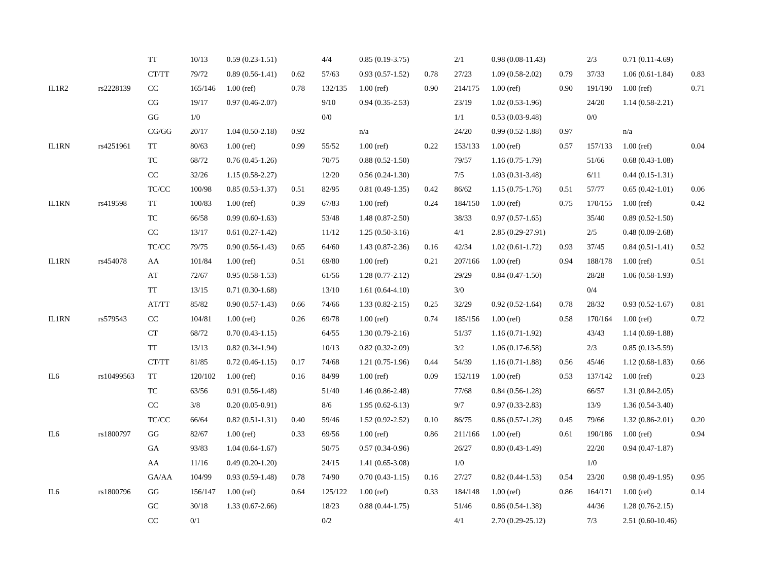|              |            | TT                                                       | 10/13   | $0.59(0.23-1.51)$   |      | 4/4     | $0.85(0.19-3.75)$   |      | 2/1     | $0.98(0.08-11.43)$  |      | 2/3     | $0.71(0.11-4.69)$   |          |
|--------------|------------|----------------------------------------------------------|---------|---------------------|------|---------|---------------------|------|---------|---------------------|------|---------|---------------------|----------|
|              |            | $\operatorname{CT}/\operatorname{TT}$                    | 79/72   | $0.89(0.56-1.41)$   | 0.62 | 57/63   | $0.93(0.57-1.52)$   | 0.78 | 27/23   | $1.09(0.58-2.02)$   | 0.79 | 37/33   | $1.06(0.61-1.84)$   | 0.83     |
| IL1R2        | rs2228139  | $\rm CC$                                                 | 165/146 | $1.00$ (ref)        | 0.78 | 132/135 | $1.00$ (ref)        | 0.90 | 214/175 | $1.00$ (ref)        | 0.90 | 191/190 | $1.00$ (ref)        | 0.71     |
|              |            | $\rm CG$                                                 | 19/17   | $0.97(0.46-2.07)$   |      | 9/10    | $0.94(0.35-2.53)$   |      | 23/19   | $1.02(0.53-1.96)$   |      | 24/20   | $1.14(0.58-2.21)$   |          |
|              |            | GG                                                       | 1/0     |                     |      | 0/0     |                     |      | 1/1     | $0.53(0.03-9.48)$   |      | 0/0     |                     |          |
|              |            | $\mathbf{CG}/\mathbf{GG}$                                | 20/17   | $1.04(0.50-2.18)$   | 0.92 |         | n/a                 |      | 24/20   | $0.99(0.52 - 1.88)$ | 0.97 |         | n/a                 |          |
| IL1RN        | rs4251961  | TT                                                       | 80/63   | $1.00$ (ref)        | 0.99 | 55/52   | $1.00$ (ref)        | 0.22 | 153/133 | $1.00$ (ref)        | 0.57 | 157/133 | $1.00$ (ref)        | 0.04     |
|              |            | ${\rm TC}$                                               | 68/72   | $0.76(0.45-1.26)$   |      | 70/75   | $0.88(0.52 - 1.50)$ |      | 79/57   | $1.16(0.75-1.79)$   |      | 51/66   | $0.68(0.43-1.08)$   |          |
|              |            | $\rm CC$                                                 | 32/26   | $1.15(0.58-2.27)$   |      | 12/20   | $0.56(0.24-1.30)$   |      | 7/5     | $1.03(0.31-3.48)$   |      | 6/11    | $0.44(0.15-1.31)$   |          |
|              |            | $\ensuremath{\mathsf{T}\mathsf{C}/\mathsf{C}\mathsf{C}}$ | 100/98  | $0.85(0.53-1.37)$   | 0.51 | 82/95   | $0.81(0.49-1.35)$   | 0.42 | 86/62   | $1.15(0.75-1.76)$   | 0.51 | 57/77   | $0.65(0.42-1.01)$   | 0.06     |
| <b>IL1RN</b> | rs419598   | TT                                                       | 100/83  | $1.00$ (ref)        | 0.39 | 67/83   | $1.00$ (ref)        | 0.24 | 184/150 | $1.00$ (ref)        | 0.75 | 170/155 | $1.00$ (ref)        | 0.42     |
|              |            | ${\rm TC}$                                               | 66/58   | $0.99(0.60-1.63)$   |      | 53/48   | $1.48(0.87-2.50)$   |      | 38/33   | $0.97(0.57-1.65)$   |      | 35/40   | $0.89(0.52-1.50)$   |          |
|              |            | $\rm CC$                                                 | 13/17   | $0.61(0.27-1.42)$   |      | 11/12   | $1.25(0.50-3.16)$   |      | 4/1     | $2.85(0.29-27.91)$  |      | 2/5     | $0.48(0.09-2.68)$   |          |
|              |            | $\ensuremath{\mathsf{T}\mathsf{C}/\mathsf{C}\mathsf{C}}$ | 79/75   | $0.90(0.56-1.43)$   | 0.65 | 64/60   | $1.43(0.87-2.36)$   | 0.16 | 42/34   | $1.02(0.61-1.72)$   | 0.93 | 37/45   | $0.84(0.51-1.41)$   | 0.52     |
| IL1RN        | rs454078   | AA                                                       | 101/84  | $1.00$ (ref)        | 0.51 | 69/80   | $1.00$ (ref)        | 0.21 | 207/166 | $1.00$ (ref)        | 0.94 | 188/178 | $1.00$ (ref)        | 0.51     |
|              |            | $\mathbf{A}\mathbf{T}$                                   | 72/67   | $0.95(0.58-1.53)$   |      | 61/56   | $1.28(0.77-2.12)$   |      | 29/29   | $0.84(0.47-1.50)$   |      | 28/28   | $1.06(0.58-1.93)$   |          |
|              |            | TT                                                       | 13/15   | $0.71(0.30-1.68)$   |      | 13/10   | $1.61(0.64-4.10)$   |      | $3/0$   |                     |      | 0/4     |                     |          |
|              |            | AT/TT                                                    | 85/82   | $0.90(0.57-1.43)$   | 0.66 | 74/66   | $1.33(0.82 - 2.15)$ | 0.25 | 32/29   | $0.92(0.52-1.64)$   | 0.78 | 28/32   | $0.93(0.52-1.67)$   | 0.81     |
| <b>IL1RN</b> | rs579543   | $\rm CC$                                                 | 104/81  | $1.00$ (ref)        | 0.26 | 69/78   | $1.00$ (ref)        | 0.74 | 185/156 | $1.00$ (ref)        | 0.58 | 170/164 | $1.00$ (ref)        | 0.72     |
|              |            | <b>CT</b>                                                | 68/72   | $0.70(0.43-1.15)$   |      | 64/55   | $1.30(0.79-2.16)$   |      | 51/37   | $1.16(0.71-1.92)$   |      | 43/43   | $1.14(0.69-1.88)$   |          |
|              |            | TT                                                       | 13/13   | $0.82(0.34-1.94)$   |      | 10/13   | $0.82(0.32-2.09)$   |      | 3/2     | $1.06(0.17-6.58)$   |      | 2/3     | $0.85(0.13-5.59)$   |          |
|              |            | CT/TT                                                    | 81/85   | $0.72(0.46-1.15)$   | 0.17 | 74/68   | $1.21(0.75-1.96)$   | 0.44 | 54/39   | $1.16(0.71-1.88)$   | 0.56 | 45/46   | $1.12(0.68-1.83)$   | 0.66     |
| IL6          | rs10499563 | TT                                                       | 120/102 | $1.00$ (ref)        | 0.16 | 84/99   | $1.00$ (ref)        | 0.09 | 152/119 | $1.00$ (ref)        | 0.53 | 137/142 | $1.00$ (ref)        | 0.23     |
|              |            | TC                                                       | 63/56   | $0.91(0.56-1.48)$   |      | 51/40   | $1.46(0.86-2.48)$   |      | 77/68   | $0.84(0.56-1.28)$   |      | 66/57   | $1.31(0.84-2.05)$   |          |
|              |            | $\rm CC$                                                 | $3/8$   | $0.20(0.05-0.91)$   |      | 8/6     | $1.95(0.62 - 6.13)$ |      | 9/7     | $0.97(0.33-2.83)$   |      | 13/9    | $1.36(0.54-3.40)$   |          |
|              |            | $\ensuremath{\mathsf{T}\mathsf{C}/\mathsf{C}\mathsf{C}}$ | 66/64   | $0.82(0.51-1.31)$   | 0.40 | 59/46   | $1.52(0.92 - 2.52)$ | 0.10 | 86/75   | $0.86(0.57-1.28)$   | 0.45 | 79/66   | $1.32(0.86 - 2.01)$ | $0.20\,$ |
| IL6          | rs1800797  | GG                                                       | 82/67   | $1.00$ (ref)        | 0.33 | 69/56   | $1.00$ (ref)        | 0.86 | 211/166 | $1.00$ (ref)        | 0.61 | 190/186 | $1.00$ (ref)        | 0.94     |
|              |            | GA                                                       | 93/83   | $1.04(0.64 - 1.67)$ |      | 50/75   | $0.57(0.34-0.96)$   |      | 26/27   | $0.80(0.43-1.49)$   |      | 22/20   | $0.94(0.47-1.87)$   |          |
|              |            | AA                                                       | 11/16   | $0.49(0.20-1.20)$   |      | 24/15   | $1.41(0.65-3.08)$   |      | 1/0     |                     |      | 1/0     |                     |          |
|              |            | GA/AA                                                    | 104/99  | $0.93(0.59-1.48)$   | 0.78 | 74/90   | $0.70(0.43-1.15)$   | 0.16 | 27/27   | $0.82(0.44-1.53)$   | 0.54 | 23/20   | $0.98(0.49-1.95)$   | 0.95     |
| IL6          | rs1800796  | GG                                                       | 156/147 | $1.00$ (ref)        | 0.64 | 125/122 | $1.00$ (ref)        | 0.33 | 184/148 | $1.00$ (ref)        | 0.86 | 164/171 | $1.00$ (ref)        | 0.14     |
|              |            | ${\rm GC}$                                               | 30/18   | $1.33(0.67-2.66)$   |      | 18/23   | $0.88(0.44-1.75)$   |      | 51/46   | $0.86(0.54-1.38)$   |      | 44/36   | $1.28(0.76-2.15)$   |          |
|              |            | CC                                                       | 0/1     |                     |      | $0/2$   |                     |      | 4/1     | $2.70(0.29-25.12)$  |      | 7/3     | $2.51(0.60-10.46)$  |          |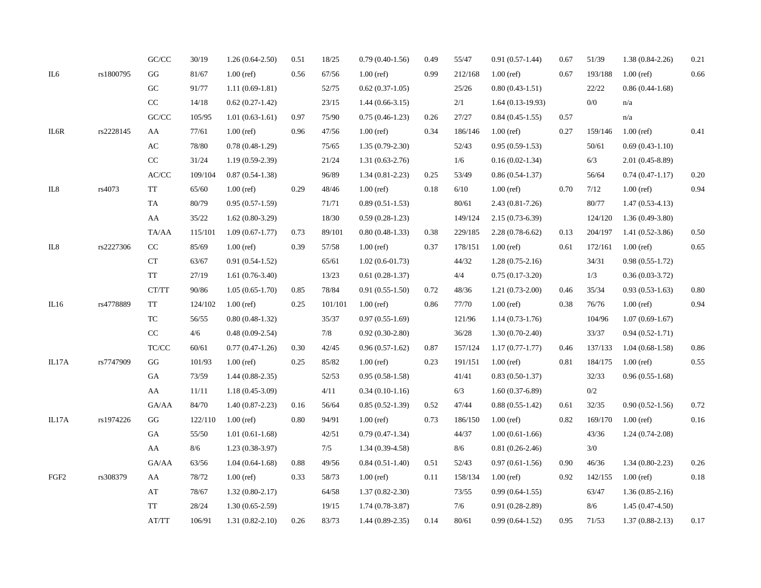|                  |           | $\mathrm{GC}/\mathrm{CC}$          | 30/19     | $1.26(0.64-2.50)$   | 0.51 | 18/25   | $0.79(0.40-1.56)$   | 0.49 | 55/47   | $0.91(0.57-1.44)$   | 0.67 | 51/39   | $1.38(0.84-2.26)$   | 0.21 |
|------------------|-----------|------------------------------------|-----------|---------------------|------|---------|---------------------|------|---------|---------------------|------|---------|---------------------|------|
| IL6              | rs1800795 | GG                                 | $81/67$   | $1.00$ (ref)        | 0.56 | 67/56   | $1.00$ (ref)        | 0.99 | 212/168 | $1.00$ (ref)        | 0.67 | 193/188 | $1.00$ (ref)        | 0.66 |
|                  |           | GC                                 | 91/77     | $1.11(0.69-1.81)$   |      | 52/75   | $0.62(0.37-1.05)$   |      | 25/26   | $0.80(0.43-1.51)$   |      | 22/22   | $0.86(0.44-1.68)$   |      |
|                  |           | $\rm CC$                           | 14/18     | $0.62(0.27-1.42)$   |      | 23/15   | $1.44(0.66-3.15)$   |      | 2/1     | $1.64(0.13-19.93)$  |      | 0/0     | n/a                 |      |
|                  |           | $\mathrm{GC}/\mathrm{CC}$          | 105/95    | $1.01(0.63-1.61)$   | 0.97 | 75/90   | $0.75(0.46-1.23)$   | 0.26 | 27/27   | $0.84(0.45-1.55)$   | 0.57 |         | n/a                 |      |
| IL6R             | rs2228145 | AA                                 | $77/61\,$ | $1.00$ (ref)        | 0.96 | 47/56   | $1.00$ (ref)        | 0.34 | 186/146 | $1.00$ (ref)        | 0.27 | 159/146 | $1.00$ (ref)        | 0.41 |
|                  |           | $\mathbf{A}\mathbf{C}$             | 78/80     | $0.78(0.48-1.29)$   |      | 75/65   | $1.35(0.79-2.30)$   |      | 52/43   | $0.95(0.59-1.53)$   |      | 50/61   | $0.69(0.43-1.10)$   |      |
|                  |           | $\rm CC$                           | 31/24     | $1.19(0.59-2.39)$   |      | 21/24   | $1.31(0.63-2.76)$   |      | 1/6     | $0.16(0.02-1.34)$   |      | 6/3     | $2.01(0.45-8.89)$   |      |
|                  |           | $\ensuremath{\text{AC}/\text{CC}}$ | 109/104   | $0.87(0.54-1.38)$   |      | 96/89   | $1.34(0.81 - 2.23)$ | 0.25 | 53/49   | $0.86(0.54-1.37)$   |      | 56/64   | $0.74(0.47-1.17)$   | 0.20 |
| IL8              | rs4073    | TT                                 | 65/60     | $1.00$ (ref)        | 0.29 | 48/46   | $1.00$ (ref)        | 0.18 | $6/10$  | $1.00$ (ref)        | 0.70 | 7/12    | $1.00$ (ref)        | 0.94 |
|                  |           | TA                                 | 80/79     | $0.95(0.57-1.59)$   |      | 71/71   | $0.89(0.51-1.53)$   |      | 80/61   | $2.43(0.81 - 7.26)$ |      | 80/77   | $1.47(0.53-4.13)$   |      |
|                  |           | AA                                 | 35/22     | $1.62(0.80-3.29)$   |      | 18/30   | $0.59(0.28-1.23)$   |      | 149/124 | $2.15(0.73-6.39)$   |      | 124/120 | $1.36(0.49-3.80)$   |      |
|                  |           | TA/AA                              | 115/101   | $1.09(0.67-1.77)$   | 0.73 | 89/101  | $0.80(0.48-1.33)$   | 0.38 | 229/185 | $2.28(0.78-6.62)$   | 0.13 | 204/197 | $1.41(0.52 - 3.86)$ | 0.50 |
| IL8              | rs2227306 | $\rm CC$                           | 85/69     | $1.00$ (ref)        | 0.39 | 57/58   | $1.00$ (ref)        | 0.37 | 178/151 | $1.00$ (ref)        | 0.61 | 172/161 | $1.00$ (ref)        | 0.65 |
|                  |           | CT                                 | 63/67     | $0.91(0.54-1.52)$   |      | 65/61   | $1.02(0.6-01.73)$   |      | 44/32   | $1.28(0.75-2.16)$   |      | 34/31   | $0.98(0.55-1.72)$   |      |
|                  |           | TT                                 | 27/19     | $1.61(0.76-3.40)$   |      | 13/23   | $0.61(0.28-1.37)$   |      | 4/4     | $0.75(0.17-3.20)$   |      | 1/3     | $0.36(0.03-3.72)$   |      |
|                  |           | CT/TT                              | 90/86     | $1.05(0.65-1.70)$   | 0.85 | 78/84   | $0.91(0.55-1.50)$   | 0.72 | 48/36   | $1.21(0.73-2.00)$   | 0.46 | 35/34   | $0.93(0.53-1.63)$   | 0.80 |
| IL16             | rs4778889 | TT                                 | 124/102   | $1.00$ (ref)        | 0.25 | 101/101 | $1.00$ (ref)        | 0.86 | 77/70   | $1.00$ (ref)        | 0.38 | 76/76   | $1.00$ (ref)        | 0.94 |
|                  |           | TC                                 | 56/55     | $0.80(0.48-1.32)$   |      | 35/37   | $0.97(0.55-1.69)$   |      | 121/96  | $1.14(0.73-1.76)$   |      | 104/96  | $1.07(0.69-1.67)$   |      |
|                  |           | $\rm CC$                           | 4/6       | $0.48(0.09-2.54)$   |      | 7/8     | $0.92(0.30-2.80)$   |      | 36/28   | $1.30(0.70-2.40)$   |      | 33/37   | $0.94(0.52-1.71)$   |      |
|                  |           | TC/CC                              | 60/61     | $0.77(0.47-1.26)$   | 0.30 | 42/45   | $0.96(0.57-1.62)$   | 0.87 | 157/124 | $1.17(0.77-1.77)$   | 0.46 | 137/133 | $1.04(0.68-1.58)$   | 0.86 |
| IL17A            | rs7747909 | $\mathbf{G}\mathbf{G}$             | 101/93    | $1.00$ (ref)        | 0.25 | 85/82   | $1.00$ (ref)        | 0.23 | 191/151 | $1.00$ (ref)        | 0.81 | 184/175 | $1.00$ (ref)        | 0.55 |
|                  |           | GA                                 | 73/59     | $1.44(0.88-2.35)$   |      | 52/53   | $0.95(0.58-1.58)$   |      | 41/41   | $0.83(0.50-1.37)$   |      | 32/33   | $0.96(0.55-1.68)$   |      |
|                  |           | AA                                 | $11/11\,$ | $1.18(0.45-3.09)$   |      | 4/11    | $0.34(0.10-1.16)$   |      | 6/3     | $1.60(0.37-6.89)$   |      | 0/2     |                     |      |
|                  |           | GA/AA                              | 84/70     | $1.40(0.87-2.23)$   | 0.16 | 56/64   | $0.85(0.52-1.39)$   | 0.52 | 47/44   | $0.88(0.55-1.42)$   | 0.61 | 32/35   | $0.90(0.52-1.56)$   | 0.72 |
| IL17A            | rs1974226 | GG                                 | 122/110   | $1.00$ (ref)        | 0.80 | 94/91   | $1.00$ (ref)        | 0.73 | 186/150 | $1.00$ (ref)        | 0.82 | 169/170 | $1.00$ (ref)        | 0.16 |
|                  |           | GA                                 | 55/50     | $1.01(0.61-1.68)$   |      | 42/51   | $0.79(0.47-1.34)$   |      | 44/37   | $1.00(0.61-1.66)$   |      | 43/36   | $1.24(0.74-2.08)$   |      |
|                  |           | AA                                 | $8/6$     | $1.23(0.38-3.97)$   |      | 7/5     | $1.34(0.39-4.58)$   |      | $8/6$   | $0.81(0.26-2.46)$   |      | 3/0     |                     |      |
|                  |           | GA/AA                              | 63/56     | $1.04(0.64-1.68)$   | 0.88 | 49/56   | $0.84(0.51-1.40)$   | 0.51 | 52/43   | $0.97(0.61-1.56)$   | 0.90 | 46/36   | $1.34(0.80-2.23)$   | 0.26 |
| FGF <sub>2</sub> | rs308379  | AA                                 | 78/72     | $1.00$ (ref)        | 0.33 | 58/73   | $1.00$ (ref)        | 0.11 | 158/134 | $1.00$ (ref)        | 0.92 | 142/155 | $1.00$ (ref)        | 0.18 |
|                  |           | AT                                 | 78/67     | $1.32(0.80-2.17)$   |      | 64/58   | $1.37(0.82 - 2.30)$ |      | 73/55   | $0.99(0.64-1.55)$   |      | 63/47   | $1.36(0.85-2.16)$   |      |
|                  |           | <b>TT</b>                          | 28/24     | $1.30(0.65-2.59)$   |      | 19/15   | $1.74(0.78-3.87)$   |      | 7/6     | $0.91(0.28-2.89)$   |      | 8/6     | $1.45(0.47-4.50)$   |      |
|                  |           | AT/TT                              | 106/91    | $1.31(0.82 - 2.10)$ | 0.26 | 83/73   | $1.44(0.89-2.35)$   | 0.14 | 80/61   | $0.99(0.64-1.52)$   | 0.95 | 71/53   | $1.37(0.88-2.13)$   | 0.17 |